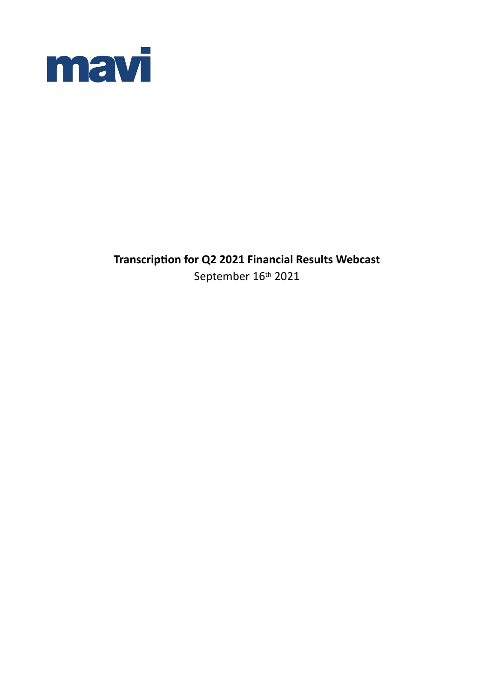

**Transcription for Q2 2021 Financial Results Webcast** September 16<sup>th</sup> 2021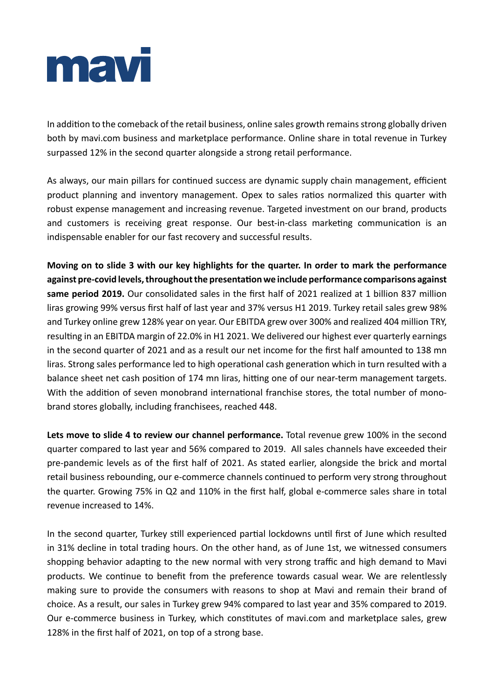

In addition to the comeback of the retail business, online sales growth remains strong globally driven both by mavi.com business and marketplace performance. Online share in total revenue in Turkey surpassed 12% in the second quarter alongside a strong retail performance.

As always, our main pillars for continued success are dynamic supply chain management, efficient product planning and inventory management. Opex to sales ratios normalized this quarter with robust expense management and increasing revenue. Targeted investment on our brand, products and customers is receiving great response. Our best-in-class marketing communication is an indispensable enabler for our fast recovery and successful results.

**Moving on to slide 3 with our key highlights for the quarter. In order to mark the performance against pre-covid levels, throughout the presentation we include performance comparisons against same period 2019.** Our consolidated sales in the first half of 2021 realized at 1 billion 837 million liras growing 99% versus first half of last year and 37% versus H1 2019. Turkey retail sales grew 98% and Turkey online grew 128% year on year. Our EBITDA grew over 300% and realized 404 million TRY, resulting in an EBITDA margin of 22.0% in H1 2021. We delivered our highest ever quarterly earnings in the second quarter of 2021 and as a result our net income for the first half amounted to 138 mn liras. Strong sales performance led to high operational cash generation which in turn resulted with a balance sheet net cash position of 174 mn liras, hitting one of our near-term management targets. With the addition of seven monobrand international franchise stores, the total number of monobrand stores globally, including franchisees, reached 448.

**Lets move to slide 4 to review our channel performance.** Total revenue grew 100% in the second quarter compared to last year and 56% compared to 2019. All sales channels have exceeded their pre-pandemic levels as of the first half of 2021. As stated earlier, alongside the brick and mortal retail business rebounding, our e-commerce channels continued to perform very strong throughout the quarter. Growing 75% in Q2 and 110% in the first half, global e-commerce sales share in total revenue increased to 14%.

In the second quarter, Turkey still experienced partial lockdowns until first of June which resulted in 31% decline in total trading hours. On the other hand, as of June 1st, we witnessed consumers shopping behavior adapting to the new normal with very strong traffic and high demand to Mavi products. We continue to benefit from the preference towards casual wear. We are relentlessly making sure to provide the consumers with reasons to shop at Mavi and remain their brand of choice. As a result, our sales in Turkey grew 94% compared to last year and 35% compared to 2019. Our e-commerce business in Turkey, which constitutes of mavi.com and marketplace sales, grew 128% in the first half of 2021, on top of a strong base.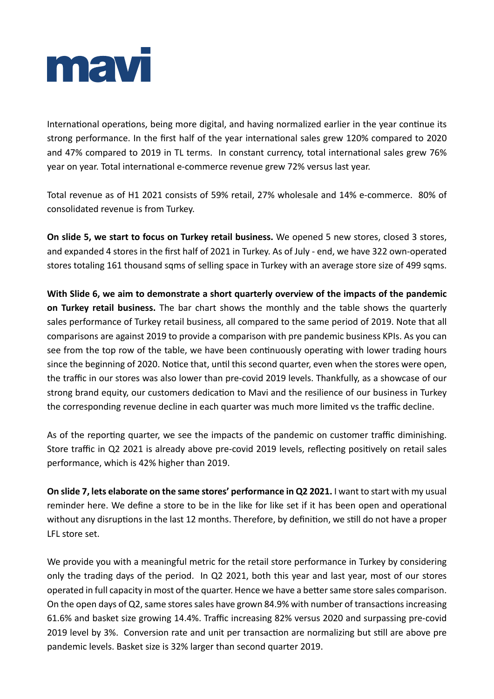

International operations, being more digital, and having normalized earlier in the year continue its strong performance. In the first half of the year international sales grew 120% compared to 2020 and 47% compared to 2019 in TL terms. In constant currency, total international sales grew 76% year on year. Total international e-commerce revenue grew 72% versus last year.

Total revenue as of H1 2021 consists of 59% retail, 27% wholesale and 14% e-commerce. 80% of consolidated revenue is from Turkey.

**On slide 5, we start to focus on Turkey retail business.** We opened 5 new stores, closed 3 stores, and expanded 4 stores in the first half of 2021 in Turkey. As of July - end, we have 322 own-operated stores totaling 161 thousand sqms of selling space in Turkey with an average store size of 499 sqms.

**With Slide 6, we aim to demonstrate a short quarterly overview of the impacts of the pandemic on Turkey retail business.** The bar chart shows the monthly and the table shows the quarterly sales performance of Turkey retail business, all compared to the same period of 2019. Note that all comparisons are against 2019 to provide a comparison with pre pandemic business KPIs. As you can see from the top row of the table, we have been continuously operating with lower trading hours since the beginning of 2020. Notice that, until this second quarter, even when the stores were open, the traffic in our stores was also lower than pre-covid 2019 levels. Thankfully, as a showcase of our strong brand equity, our customers dedication to Mavi and the resilience of our business in Turkey the corresponding revenue decline in each quarter was much more limited vs the traffic decline.

As of the reporting quarter, we see the impacts of the pandemic on customer traffic diminishing. Store traffic in Q2 2021 is already above pre-covid 2019 levels, reflecting positively on retail sales performance, which is 42% higher than 2019.

**On slide 7, lets elaborate on the same stores' performance in Q2 2021.** I want to start with my usual reminder here. We define a store to be in the like for like set if it has been open and operational without any disruptions in the last 12 months. Therefore, by definition, we still do not have a proper LFL store set.

We provide you with a meaningful metric for the retail store performance in Turkey by considering only the trading days of the period. In Q2 2021, both this year and last year, most of our stores operated in full capacity in most of the quarter. Hence we have a better same store sales comparison. On the open days of Q2, same stores sales have grown 84.9% with number of transactions increasing 61.6% and basket size growing 14.4%. Traffic increasing 82% versus 2020 and surpassing pre-covid 2019 level by 3%. Conversion rate and unit per transaction are normalizing but still are above pre pandemic levels. Basket size is 32% larger than second quarter 2019.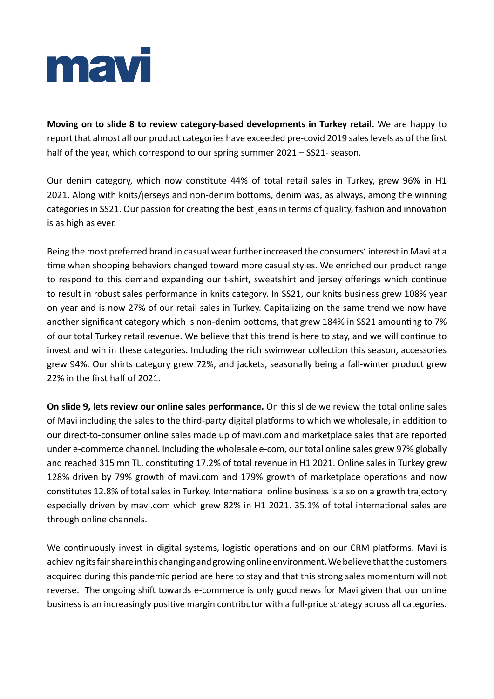

**Moving on to slide 8 to review category-based developments in Turkey retail.** We are happy to report that almost all our product categories have exceeded pre-covid 2019 sales levels as of the first half of the year, which correspond to our spring summer 2021 – SS21- season.

Our denim category, which now constitute 44% of total retail sales in Turkey, grew 96% in H1 2021. Along with knits/jerseys and non-denim bottoms, denim was, as always, among the winning categories in SS21. Our passion for creating the best jeans in terms of quality, fashion and innovation is as high as ever.

Being the most preferred brand in casual wear further increased the consumers' interest in Mavi at a time when shopping behaviors changed toward more casual styles. We enriched our product range to respond to this demand expanding our t-shirt, sweatshirt and jersey offerings which continue to result in robust sales performance in knits category. In SS21, our knits business grew 108% year on year and is now 27% of our retail sales in Turkey. Capitalizing on the same trend we now have another significant category which is non-denim bottoms, that grew 184% in SS21 amounting to 7% of our total Turkey retail revenue. We believe that this trend is here to stay, and we will continue to invest and win in these categories. Including the rich swimwear collection this season, accessories grew 94%. Our shirts category grew 72%, and jackets, seasonally being a fall-winter product grew 22% in the first half of 2021.

**On slide 9, lets review our online sales performance.** On this slide we review the total online sales of Mavi including the sales to the third-party digital platforms to which we wholesale, in addition to our direct-to-consumer online sales made up of mavi.com and marketplace sales that are reported under e-commerce channel. Including the wholesale e-com, our total online sales grew 97% globally and reached 315 mn TL, constituting 17.2% of total revenue in H1 2021. Online sales in Turkey grew 128% driven by 79% growth of mavi.com and 179% growth of marketplace operations and now constitutes 12.8% of total sales in Turkey. International online business is also on a growth trajectory especially driven by mavi.com which grew 82% in H1 2021. 35.1% of total international sales are through online channels.

We continuously invest in digital systems, logistic operations and on our CRM platforms. Mavi is achieving its fair share in this changing and growing online environment. We believe that the customers acquired during this pandemic period are here to stay and that this strong sales momentum will not reverse. The ongoing shift towards e-commerce is only good news for Mavi given that our online business is an increasingly positive margin contributor with a full-price strategy across all categories.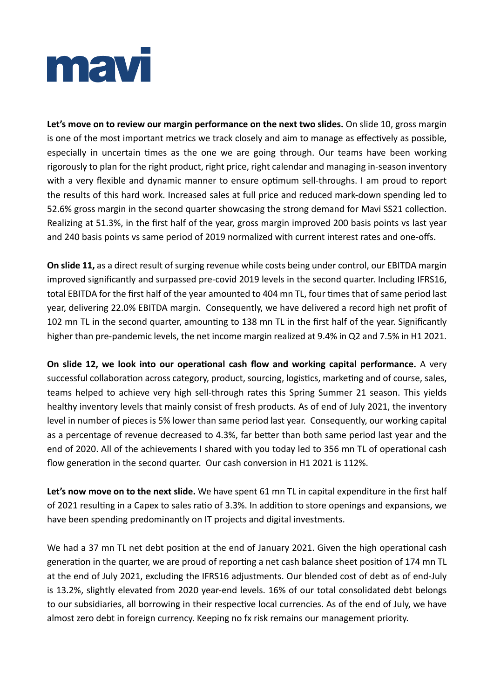

**Let's move on to review our margin performance on the next two slides.** On slide 10, gross margin is one of the most important metrics we track closely and aim to manage as effectively as possible, especially in uncertain times as the one we are going through. Our teams have been working rigorously to plan for the right product, right price, right calendar and managing in-season inventory with a very flexible and dynamic manner to ensure optimum sell-throughs. I am proud to report the results of this hard work. Increased sales at full price and reduced mark-down spending led to 52.6% gross margin in the second quarter showcasing the strong demand for Mavi SS21 collection. Realizing at 51.3%, in the first half of the year, gross margin improved 200 basis points vs last year and 240 basis points vs same period of 2019 normalized with current interest rates and one-offs.

**On slide 11,** as a direct result of surging revenue while costs being under control, our EBITDA margin improved significantly and surpassed pre-covid 2019 levels in the second quarter. Including IFRS16, total EBITDA for the first half of the year amounted to 404 mn TL, four times that of same period last year, delivering 22.0% EBITDA margin. Consequently, we have delivered a record high net profit of 102 mn TL in the second quarter, amounting to 138 mn TL in the first half of the year. Significantly higher than pre-pandemic levels, the net income margin realized at 9.4% in Q2 and 7.5% in H1 2021.

**On slide 12, we look into our operational cash flow and working capital performance.** A very successful collaboration across category, product, sourcing, logistics, marketing and of course, sales, teams helped to achieve very high sell-through rates this Spring Summer 21 season. This yields healthy inventory levels that mainly consist of fresh products. As of end of July 2021, the inventory level in number of pieces is 5% lower than same period last year. Consequently, our working capital as a percentage of revenue decreased to 4.3%, far better than both same period last year and the end of 2020. All of the achievements I shared with you today led to 356 mn TL of operational cash flow generation in the second quarter. Our cash conversion in H1 2021 is 112%.

**Let's now move on to the next slide.** We have spent 61 mn TL in capital expenditure in the first half of 2021 resulting in a Capex to sales ratio of 3.3%. In addition to store openings and expansions, we have been spending predominantly on IT projects and digital investments.

We had a 37 mn TL net debt position at the end of January 2021. Given the high operational cash generation in the quarter, we are proud of reporting a net cash balance sheet position of 174 mn TL at the end of July 2021, excluding the IFRS16 adjustments. Our blended cost of debt as of end-July is 13.2%, slightly elevated from 2020 year-end levels. 16% of our total consolidated debt belongs to our subsidiaries, all borrowing in their respective local currencies. As of the end of July, we have almost zero debt in foreign currency. Keeping no fx risk remains our management priority.